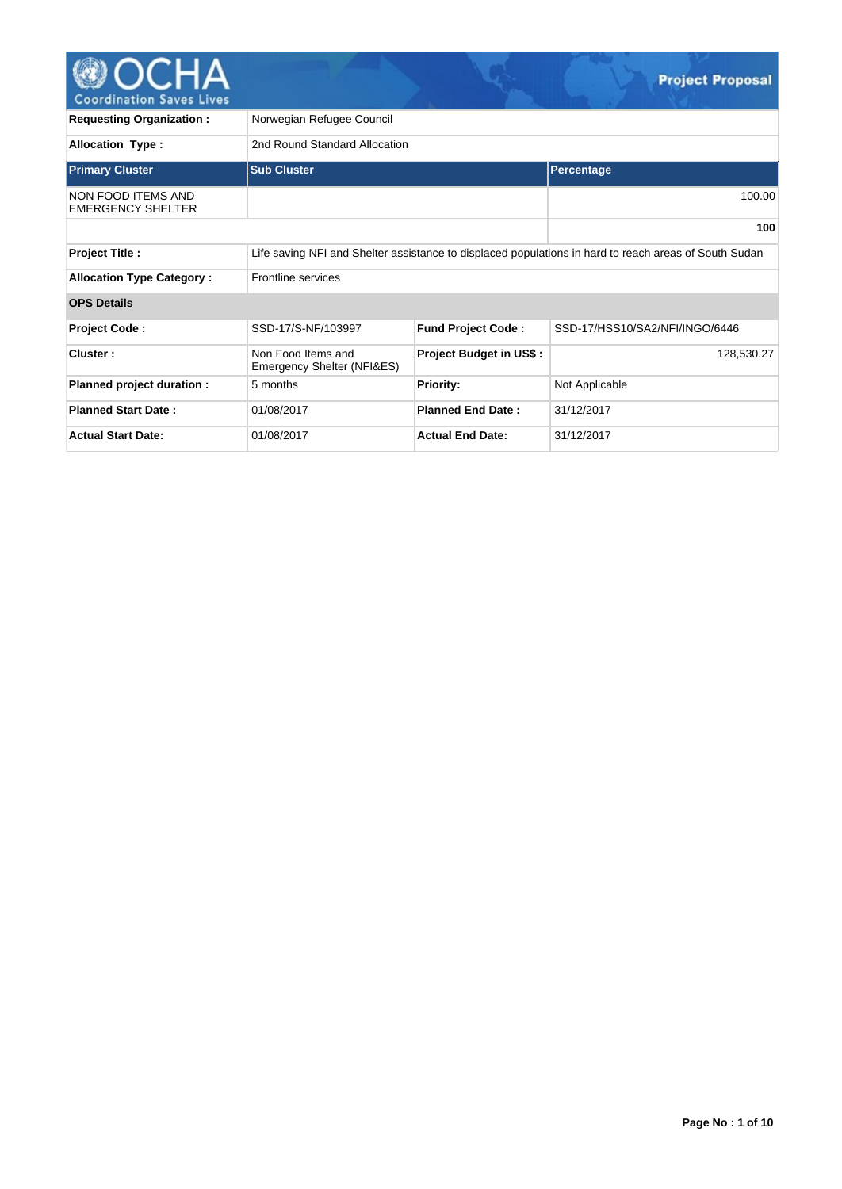

**Requesting Organization :** Norwegian Refugee Council Allocation Type : 2nd Round Standard Allocation **Primary Cluster Sub Cluster Sub Cluster Sub Cluster Percentage Percentage** NON FOOD ITEMS AND EMERGENCY SHELTER 100.00 **100 Project Title :** Life saving NFI and Shelter assistance to displaced populations in hard to reach areas of South Sudan **Allocation Type Category :** Frontline services **OPS Details Project Code :** SSD-17/S-NF/103997 **Fund Project Code :** SSD-17/HSS10/SA2/NFI/INGO/6446 **Cluster :** Non Food Items and Emergency Shelter (NFI&ES) **Project Budget in US\$ :** 128,530.27 **Planned project duration :** 5 months **Priority:** Not Applicable **Planned Start Date :** 01/08/2017 **Planned End Date :** 31/12/2017 **Actual Start Date:** 01/08/2017 **Actual End Date:** 31/12/2017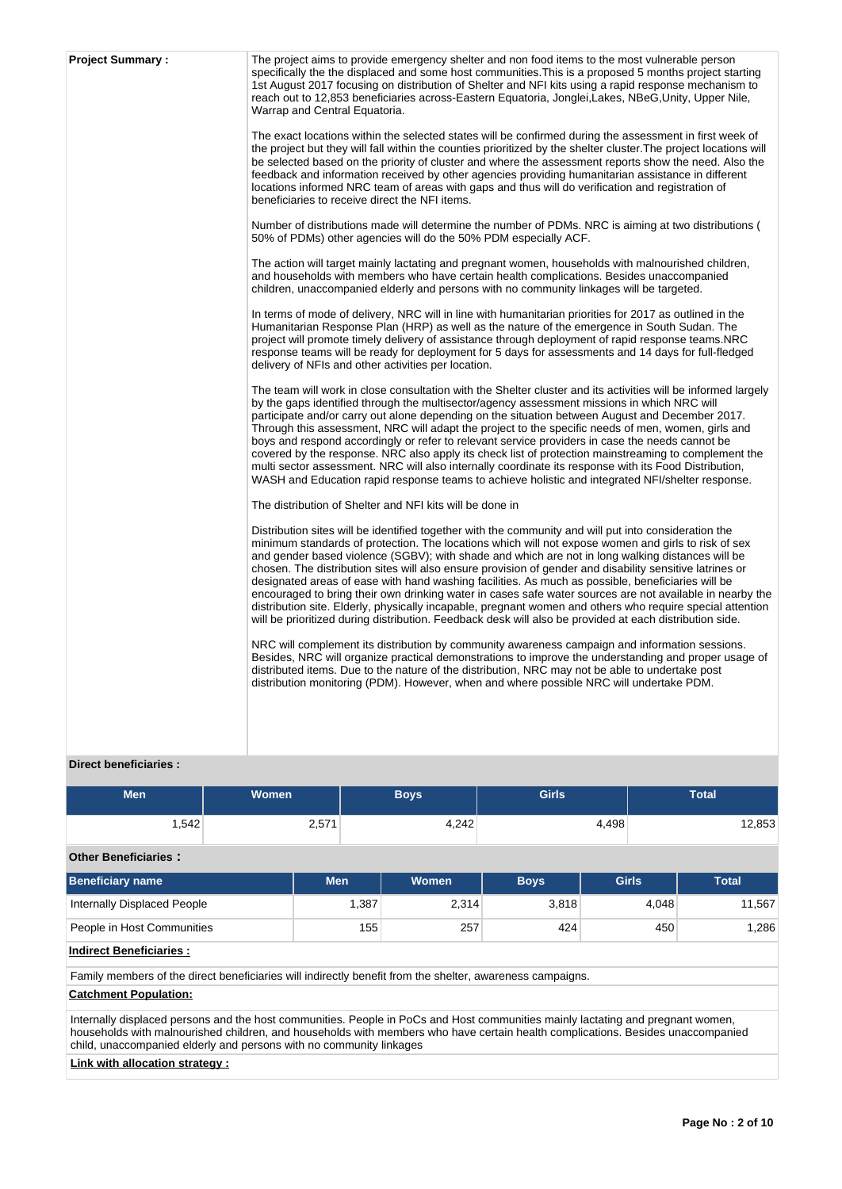| <b>Project Summary:</b> | The project aims to provide emergency shelter and non food items to the most vulnerable person<br>specifically the the displaced and some host communities. This is a proposed 5 months project starting<br>1st August 2017 focusing on distribution of Shelter and NFI kits using a rapid response mechanism to<br>reach out to 12,853 beneficiaries across-Eastern Equatoria, Jonglei,Lakes, NBeG,Unity, Upper Nile,<br>Warrap and Central Equatoria.                                                                                                                                                                                                                                                                                                                                                                                                               |
|-------------------------|-----------------------------------------------------------------------------------------------------------------------------------------------------------------------------------------------------------------------------------------------------------------------------------------------------------------------------------------------------------------------------------------------------------------------------------------------------------------------------------------------------------------------------------------------------------------------------------------------------------------------------------------------------------------------------------------------------------------------------------------------------------------------------------------------------------------------------------------------------------------------|
|                         | The exact locations within the selected states will be confirmed during the assessment in first week of<br>the project but they will fall within the counties prioritized by the shelter cluster. The project locations will<br>be selected based on the priority of cluster and where the assessment reports show the need. Also the<br>feedback and information received by other agencies providing humanitarian assistance in different<br>locations informed NRC team of areas with gaps and thus will do verification and registration of<br>beneficiaries to receive direct the NFI items.                                                                                                                                                                                                                                                                     |
|                         | Number of distributions made will determine the number of PDMs. NRC is aiming at two distributions (<br>50% of PDMs) other agencies will do the 50% PDM especially ACF.                                                                                                                                                                                                                                                                                                                                                                                                                                                                                                                                                                                                                                                                                               |
|                         | The action will target mainly lactating and pregnant women, households with malnourished children,<br>and households with members who have certain health complications. Besides unaccompanied<br>children, unaccompanied elderly and persons with no community linkages will be targeted.                                                                                                                                                                                                                                                                                                                                                                                                                                                                                                                                                                            |
|                         | In terms of mode of delivery, NRC will in line with humanitarian priorities for 2017 as outlined in the<br>Humanitarian Response Plan (HRP) as well as the nature of the emergence in South Sudan. The<br>project will promote timely delivery of assistance through deployment of rapid response teams. NRC<br>response teams will be ready for deployment for 5 days for assessments and 14 days for full-fledged<br>delivery of NFIs and other activities per location.                                                                                                                                                                                                                                                                                                                                                                                            |
|                         | The team will work in close consultation with the Shelter cluster and its activities will be informed largely<br>by the gaps identified through the multisector/agency assessment missions in which NRC will<br>participate and/or carry out alone depending on the situation between August and December 2017.<br>Through this assessment, NRC will adapt the project to the specific needs of men, women, girls and<br>boys and respond accordingly or refer to relevant service providers in case the needs cannot be<br>covered by the response. NRC also apply its check list of protection mainstreaming to complement the<br>multi sector assessment. NRC will also internally coordinate its response with its Food Distribution,<br>WASH and Education rapid response teams to achieve holistic and integrated NFI/shelter response.                         |
|                         | The distribution of Shelter and NFI kits will be done in                                                                                                                                                                                                                                                                                                                                                                                                                                                                                                                                                                                                                                                                                                                                                                                                              |
|                         | Distribution sites will be identified together with the community and will put into consideration the<br>minimum standards of protection. The locations which will not expose women and girls to risk of sex<br>and gender based violence (SGBV); with shade and which are not in long walking distances will be<br>chosen. The distribution sites will also ensure provision of gender and disability sensitive latrines or<br>designated areas of ease with hand washing facilities. As much as possible, beneficiaries will be<br>encouraged to bring their own drinking water in cases safe water sources are not available in nearby the<br>distribution site. Elderly, physically incapable, pregnant women and others who require special attention<br>will be prioritized during distribution. Feedback desk will also be provided at each distribution side. |
|                         | NRC will complement its distribution by community awareness campaign and information sessions.<br>Besides, NRC will organize practical demonstrations to improve the understanding and proper usage of<br>distributed items. Due to the nature of the distribution, NRC may not be able to undertake post<br>distribution monitoring (PDM). However, when and where possible NRC will undertake PDM.                                                                                                                                                                                                                                                                                                                                                                                                                                                                  |
|                         |                                                                                                                                                                                                                                                                                                                                                                                                                                                                                                                                                                                                                                                                                                                                                                                                                                                                       |

# **Direct beneficiaries :**

| <b>Men</b> | Women <sup>1</sup> | Boys  | <b>Girls</b> | <b>Total</b> |
|------------|--------------------|-------|--------------|--------------|
| ,542       | 2,571              | 4,242 | 4,498        | 12,853       |

## **Other Beneficiaries :**

| <b>Beneficiary name</b>     | <b>Men</b> | Women | <b>Boys</b> | <b>Girls</b> | <b>Total</b> |
|-----------------------------|------------|-------|-------------|--------------|--------------|
| Internally Displaced People | ,387       | 2,314 | 3.818       | 4.048        | 11,567       |
| People in Host Communities  | 155        | 257   | 424         | 450          | 1.286        |

## **Indirect Beneficiaries :**

Family members of the direct beneficiaries will indirectly benefit from the shelter, awareness campaigns.

## **Catchment Population:**

Internally displaced persons and the host communities. People in PoCs and Host communities mainly lactating and pregnant women, households with malnourished children, and households with members who have certain health complications. Besides unaccompanied child, unaccompanied elderly and persons with no community linkages

# **Link with allocation strategy :**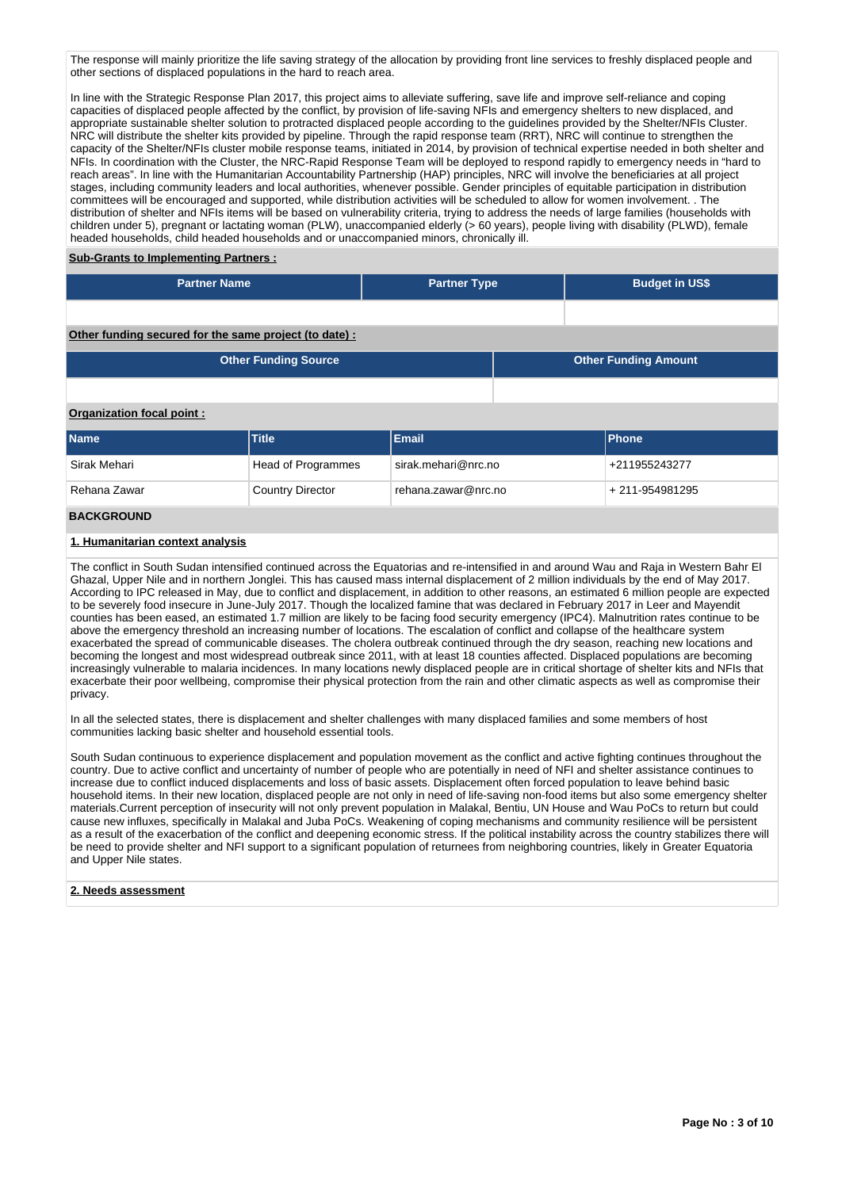The response will mainly prioritize the life saving strategy of the allocation by providing front line services to freshly displaced people and other sections of displaced populations in the hard to reach area.

In line with the Strategic Response Plan 2017, this project aims to alleviate suffering, save life and improve self-reliance and coping capacities of displaced people affected by the conflict, by provision of life-saving NFIs and emergency shelters to new displaced, and appropriate sustainable shelter solution to protracted displaced people according to the guidelines provided by the Shelter/NFIs Cluster. NRC will distribute the shelter kits provided by pipeline. Through the rapid response team (RRT), NRC will continue to strengthen the capacity of the Shelter/NFIs cluster mobile response teams, initiated in 2014, by provision of technical expertise needed in both shelter and NFIs. In coordination with the Cluster, the NRC-Rapid Response Team will be deployed to respond rapidly to emergency needs in "hard to reach areas". In line with the Humanitarian Accountability Partnership (HAP) principles, NRC will involve the beneficiaries at all project stages, including community leaders and local authorities, whenever possible. Gender principles of equitable participation in distribution committees will be encouraged and supported, while distribution activities will be scheduled to allow for women involvement. . The distribution of shelter and NFIs items will be based on vulnerability criteria, trying to address the needs of large families (households with children under 5), pregnant or lactating woman (PLW), unaccompanied elderly (> 60 years), people living with disability (PLWD), female headed households, child headed households and or unaccompanied minors, chronically ill.

## **Sub-Grants to Implementing Partners :**

| <b>Partner Name</b> | <b>Partner Type</b> | <b>Budget in US\$</b> |
|---------------------|---------------------|-----------------------|
|                     |                     |                       |

#### **Other funding secured for the same project (to date) :**

| <b>Other Funding Source</b> | <b>Other Funding Amount</b> |
|-----------------------------|-----------------------------|
|                             |                             |

## **Organization focal point :**

| <b>Name</b>        | Title                   | Email               | <b>IPhone</b>                |
|--------------------|-------------------------|---------------------|------------------------------|
| Sirak Mehari       | Head of Programmes      | sirak.mehari@nrc.no | +211955243277                |
| Rehana Zawar       | <b>Country Director</b> | rehana.zawar@nrc.no | <sup>1</sup> + 211-954981295 |
| <b>DACKCROUNID</b> |                         |                     |                              |

## **BACKGROUND**

#### **1. Humanitarian context analysis**

The conflict in South Sudan intensified continued across the Equatorias and re-intensified in and around Wau and Raja in Western Bahr El Ghazal, Upper Nile and in northern Jonglei. This has caused mass internal displacement of 2 million individuals by the end of May 2017. According to IPC released in May, due to conflict and displacement, in addition to other reasons, an estimated 6 million people are expected to be severely food insecure in June-July 2017. Though the localized famine that was declared in February 2017 in Leer and Mayendit counties has been eased, an estimated 1.7 million are likely to be facing food security emergency (IPC4). Malnutrition rates continue to be above the emergency threshold an increasing number of locations. The escalation of conflict and collapse of the healthcare system exacerbated the spread of communicable diseases. The cholera outbreak continued through the dry season, reaching new locations and becoming the longest and most widespread outbreak since 2011, with at least 18 counties affected. Displaced populations are becoming increasingly vulnerable to malaria incidences. In many locations newly displaced people are in critical shortage of shelter kits and NFIs that exacerbate their poor wellbeing, compromise their physical protection from the rain and other climatic aspects as well as compromise their privacy.

In all the selected states, there is displacement and shelter challenges with many displaced families and some members of host communities lacking basic shelter and household essential tools.

South Sudan continuous to experience displacement and population movement as the conflict and active fighting continues throughout the country. Due to active conflict and uncertainty of number of people who are potentially in need of NFI and shelter assistance continues to increase due to conflict induced displacements and loss of basic assets. Displacement often forced population to leave behind basic household items. In their new location, displaced people are not only in need of life-saving non-food items but also some emergency shelter materials.Current perception of insecurity will not only prevent population in Malakal, Bentiu, UN House and Wau PoCs to return but could cause new influxes, specifically in Malakal and Juba PoCs. Weakening of coping mechanisms and community resilience will be persistent as a result of the exacerbation of the conflict and deepening economic stress. If the political instability across the country stabilizes there will be need to provide shelter and NFI support to a significant population of returnees from neighboring countries, likely in Greater Equatoria and Upper Nile states.

### **2. Needs assessment**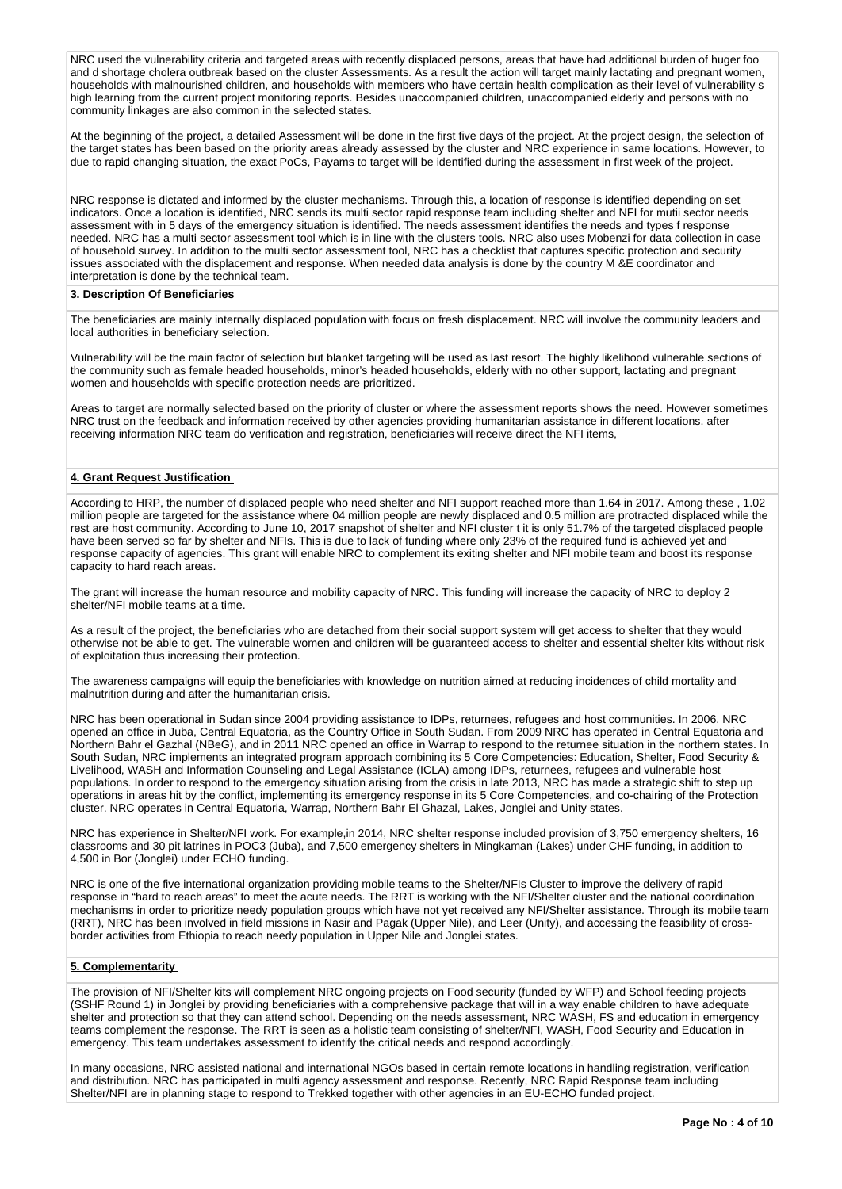NRC used the vulnerability criteria and targeted areas with recently displaced persons, areas that have had additional burden of huger foo and d shortage cholera outbreak based on the cluster Assessments. As a result the action will target mainly lactating and pregnant women, households with malnourished children, and households with members who have certain health complication as their level of vulnerability s high learning from the current project monitoring reports. Besides unaccompanied children, unaccompanied elderly and persons with no community linkages are also common in the selected states.

At the beginning of the project, a detailed Assessment will be done in the first five days of the project. At the project design, the selection of the target states has been based on the priority areas already assessed by the cluster and NRC experience in same locations. However, to due to rapid changing situation, the exact PoCs, Payams to target will be identified during the assessment in first week of the project.

NRC response is dictated and informed by the cluster mechanisms. Through this, a location of response is identified depending on set indicators. Once a location is identified, NRC sends its multi sector rapid response team including shelter and NFI for mutii sector needs assessment with in 5 days of the emergency situation is identified. The needs assessment identifies the needs and types f response needed. NRC has a multi sector assessment tool which is in line with the clusters tools. NRC also uses Mobenzi for data collection in case of household survey. In addition to the multi sector assessment tool, NRC has a checklist that captures specific protection and security issues associated with the displacement and response. When needed data analysis is done by the country M &E coordinator and interpretation is done by the technical team.

## **3. Description Of Beneficiaries**

The beneficiaries are mainly internally displaced population with focus on fresh displacement. NRC will involve the community leaders and local authorities in beneficiary selection.

Vulnerability will be the main factor of selection but blanket targeting will be used as last resort. The highly likelihood vulnerable sections of the community such as female headed households, minor's headed households, elderly with no other support, lactating and pregnant women and households with specific protection needs are prioritized.

Areas to target are normally selected based on the priority of cluster or where the assessment reports shows the need. However sometimes NRC trust on the feedback and information received by other agencies providing humanitarian assistance in different locations. after receiving information NRC team do verification and registration, beneficiaries will receive direct the NFI items,

#### **4. Grant Request Justification**

According to HRP, the number of displaced people who need shelter and NFI support reached more than 1.64 in 2017. Among these , 1.02 million people are targeted for the assistance where 04 million people are newly displaced and 0.5 million are protracted displaced while the rest are host community. According to June 10, 2017 snapshot of shelter and NFI cluster t it is only 51.7% of the targeted displaced people have been served so far by shelter and NFIs. This is due to lack of funding where only 23% of the required fund is achieved yet and response capacity of agencies. This grant will enable NRC to complement its exiting shelter and NFI mobile team and boost its response capacity to hard reach areas.

The grant will increase the human resource and mobility capacity of NRC. This funding will increase the capacity of NRC to deploy 2 shelter/NFI mobile teams at a time.

As a result of the project, the beneficiaries who are detached from their social support system will get access to shelter that they would otherwise not be able to get. The vulnerable women and children will be guaranteed access to shelter and essential shelter kits without risk of exploitation thus increasing their protection.

The awareness campaigns will equip the beneficiaries with knowledge on nutrition aimed at reducing incidences of child mortality and malnutrition during and after the humanitarian crisis.

NRC has been operational in Sudan since 2004 providing assistance to IDPs, returnees, refugees and host communities. In 2006, NRC opened an office in Juba, Central Equatoria, as the Country Office in South Sudan. From 2009 NRC has operated in Central Equatoria and Northern Bahr el Gazhal (NBeG), and in 2011 NRC opened an office in Warrap to respond to the returnee situation in the northern states. In South Sudan, NRC implements an integrated program approach combining its 5 Core Competencies: Education, Shelter, Food Security & Livelihood, WASH and Information Counseling and Legal Assistance (ICLA) among IDPs, returnees, refugees and vulnerable host populations. In order to respond to the emergency situation arising from the crisis in late 2013, NRC has made a strategic shift to step up operations in areas hit by the conflict, implementing its emergency response in its 5 Core Competencies, and co-chairing of the Protection cluster. NRC operates in Central Equatoria, Warrap, Northern Bahr El Ghazal, Lakes, Jonglei and Unity states.

NRC has experience in Shelter/NFI work. For example,in 2014, NRC shelter response included provision of 3,750 emergency shelters, 16 classrooms and 30 pit latrines in POC3 (Juba), and 7,500 emergency shelters in Mingkaman (Lakes) under CHF funding, in addition to 4,500 in Bor (Jonglei) under ECHO funding.

NRC is one of the five international organization providing mobile teams to the Shelter/NFIs Cluster to improve the delivery of rapid response in "hard to reach areas" to meet the acute needs. The RRT is working with the NFI/Shelter cluster and the national coordination mechanisms in order to prioritize needy population groups which have not yet received any NFI/Shelter assistance. Through its mobile team (RRT), NRC has been involved in field missions in Nasir and Pagak (Upper Nile), and Leer (Unity), and accessing the feasibility of crossborder activities from Ethiopia to reach needy population in Upper Nile and Jonglei states.

## **5. Complementarity**

The provision of NFI/Shelter kits will complement NRC ongoing projects on Food security (funded by WFP) and School feeding projects (SSHF Round 1) in Jonglei by providing beneficiaries with a comprehensive package that will in a way enable children to have adequate shelter and protection so that they can attend school. Depending on the needs assessment, NRC WASH, FS and education in emergency teams complement the response. The RRT is seen as a holistic team consisting of shelter/NFI, WASH, Food Security and Education in emergency. This team undertakes assessment to identify the critical needs and respond accordingly.

In many occasions, NRC assisted national and international NGOs based in certain remote locations in handling registration, verification and distribution. NRC has participated in multi agency assessment and response. Recently, NRC Rapid Response team including Shelter/NFI are in planning stage to respond to Trekked together with other agencies in an EU-ECHO funded project.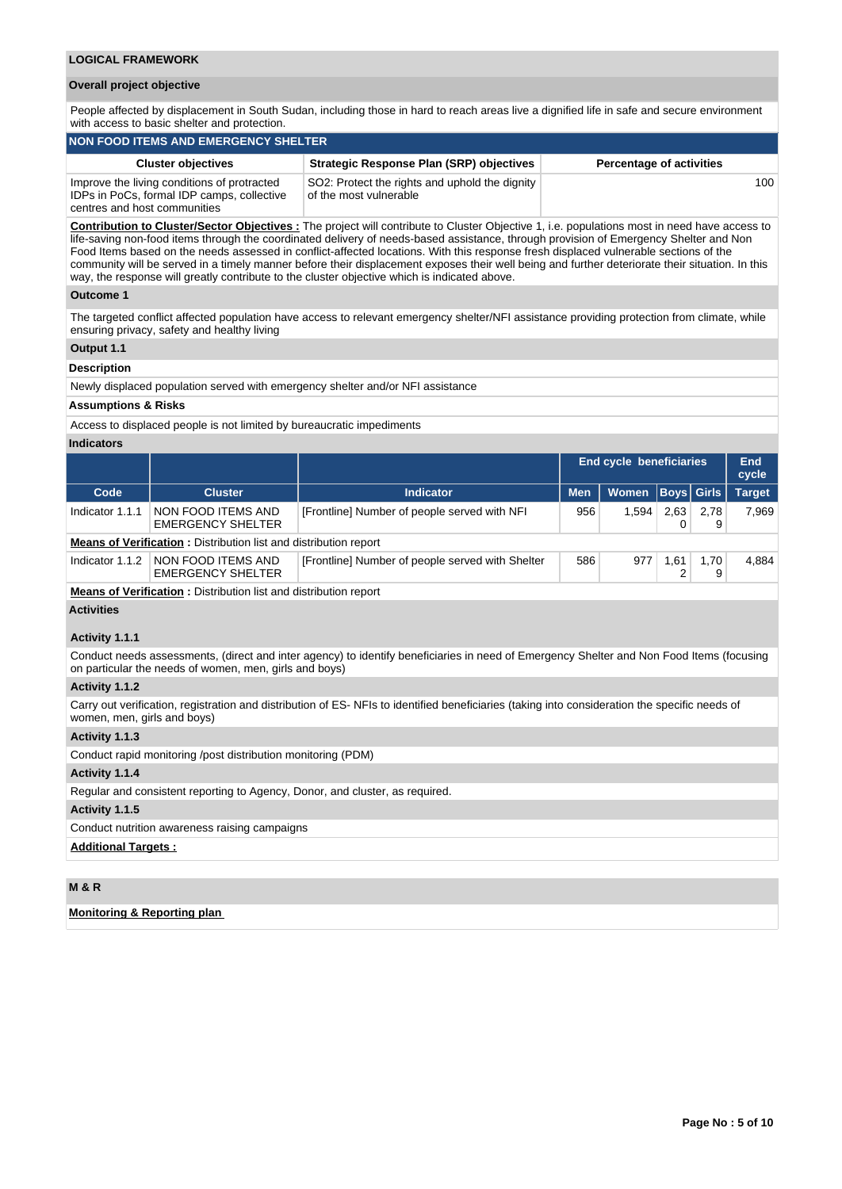## **Overall project objective**

People affected by displacement in South Sudan, including those in hard to reach areas live a dignified life in safe and secure environment with access to basic shelter and protection.

| NON FOOD ITEMS AND EMERGENCY SHELTER                                                                                      |                                                                          |                                 |  |  |  |  |  |  |
|---------------------------------------------------------------------------------------------------------------------------|--------------------------------------------------------------------------|---------------------------------|--|--|--|--|--|--|
| <b>Cluster objectives</b>                                                                                                 | <b>Strategic Response Plan (SRP) objectives</b>                          | <b>Percentage of activities</b> |  |  |  |  |  |  |
| Improve the living conditions of protracted<br>IDPs in PoCs, formal IDP camps, collective<br>centres and host communities | SO2: Protect the rights and uphold the dignity<br>of the most vulnerable | 100                             |  |  |  |  |  |  |

**Contribution to Cluster/Sector Objectives :** The project will contribute to Cluster Objective 1, i.e. populations most in need have access to life-saving non-food items through the coordinated delivery of needs-based assistance, through provision of Emergency Shelter and Non Food Items based on the needs assessed in conflict-affected locations. With this response fresh displaced vulnerable sections of the community will be served in a timely manner before their displacement exposes their well being and further deteriorate their situation. In this way, the response will greatly contribute to the cluster objective which is indicated above.

#### **Outcome 1**

The targeted conflict affected population have access to relevant emergency shelter/NFI assistance providing protection from climate, while ensuring privacy, safety and healthy living

# **Output 1.1**

# **Description**

Newly displaced population served with emergency shelter and/or NFI assistance

#### **Assumptions & Risks**

Access to displaced people is not limited by bureaucratic impediments

## **Indicators**

|                                                                         |                                                |                                                  | <b>End cycle beneficiaries</b> |       |      | End<br>cycle      |               |  |  |  |
|-------------------------------------------------------------------------|------------------------------------------------|--------------------------------------------------|--------------------------------|-------|------|-------------------|---------------|--|--|--|
| Code                                                                    | <b>Cluster</b>                                 | <b>Indicator</b>                                 | <b>Men</b>                     | Women |      | <b>Boys Girls</b> | <b>Target</b> |  |  |  |
| Indicator 1.1.1                                                         | NON FOOD ITEMS AND<br><b>EMERGENCY SHELTER</b> | [Frontline] Number of people served with NFI     | 956                            | 1,594 | 2,63 | 2.78<br>9         | 7,969         |  |  |  |
| <b>Means of Verification:</b> Distribution list and distribution report |                                                |                                                  |                                |       |      |                   |               |  |  |  |
| Indicator 1.1.2                                                         | NON FOOD ITEMS AND<br><b>EMERGENCY SHELTER</b> | [Frontline] Number of people served with Shelter | 586                            | 977   | 1,61 | 1,70<br>9         | 4,884         |  |  |  |

**Means of Verification :** Distribution list and distribution report

## **Activities**

# **Activity 1.1.1**

Conduct needs assessments, (direct and inter agency) to identify beneficiaries in need of Emergency Shelter and Non Food Items (focusing on particular the needs of women, men, girls and boys)

### **Activity 1.1.2**

Carry out verification, registration and distribution of ES- NFIs to identified beneficiaries (taking into consideration the specific needs of women, men, girls and boys)

## **Activity 1.1.3**

Conduct rapid monitoring /post distribution monitoring (PDM)

#### **Activity 1.1.4**

Regular and consistent reporting to Agency, Donor, and cluster, as required.

## **Activity 1.1.5**

Conduct nutrition awareness raising campaigns

## **Additional Targets :**

# **M & R**

**Monitoring & Reporting plan**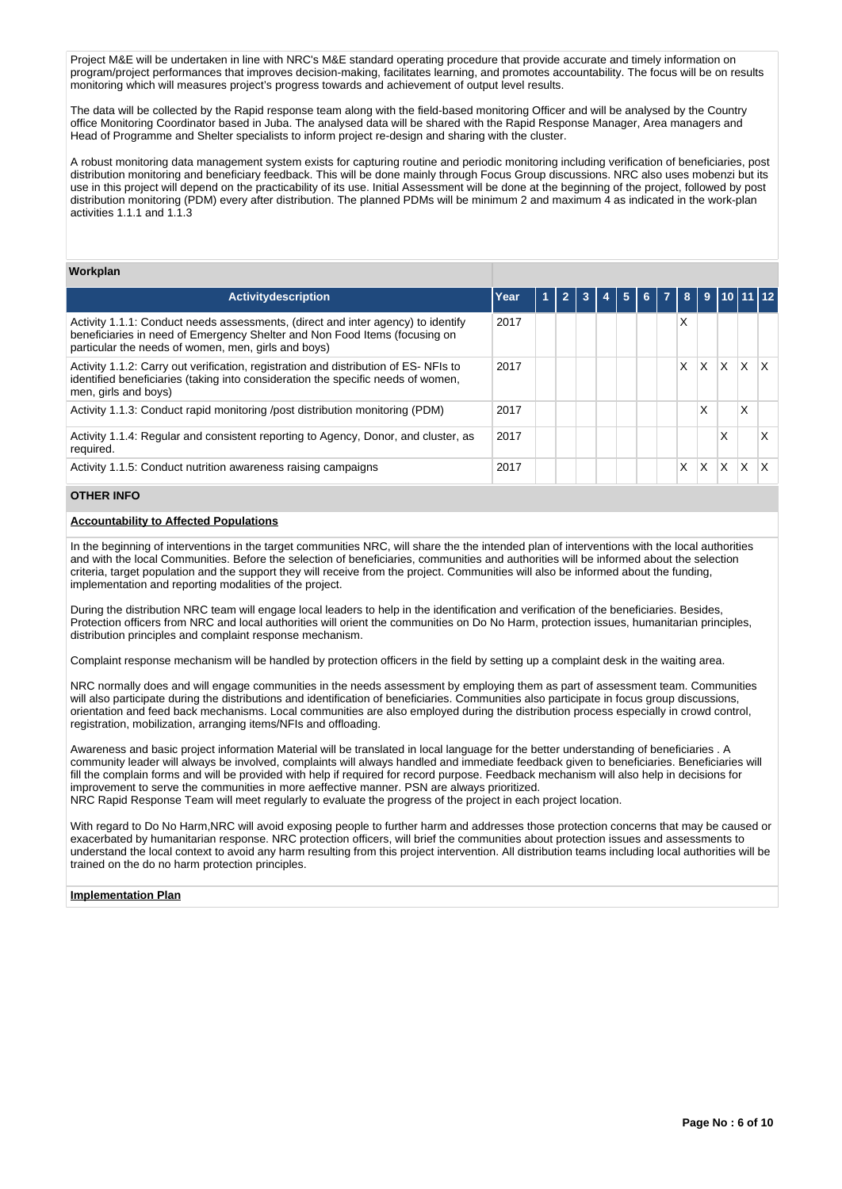Project M&E will be undertaken in line with NRC's M&E standard operating procedure that provide accurate and timely information on program/project performances that improves decision-making, facilitates learning, and promotes accountability. The focus will be on results monitoring which will measures project's progress towards and achievement of output level results.

The data will be collected by the Rapid response team along with the field-based monitoring Officer and will be analysed by the Country office Monitoring Coordinator based in Juba. The analysed data will be shared with the Rapid Response Manager, Area managers and Head of Programme and Shelter specialists to inform project re-design and sharing with the cluster.

A robust monitoring data management system exists for capturing routine and periodic monitoring including verification of beneficiaries, post distribution monitoring and beneficiary feedback. This will be done mainly through Focus Group discussions. NRC also uses mobenzi but its use in this project will depend on the practicability of its use. Initial Assessment will be done at the beginning of the project, followed by post distribution monitoring (PDM) every after distribution. The planned PDMs will be minimum 2 and maximum 4 as indicated in the work-plan activities 1.1.1 and 1.1.3

## **Workplan**

| <b>Activitydescription</b>                                                                                                                                                                                            | Year |  |  |  |    |   |   | $110$ 11 12 |          |
|-----------------------------------------------------------------------------------------------------------------------------------------------------------------------------------------------------------------------|------|--|--|--|----|---|---|-------------|----------|
| Activity 1.1.1: Conduct needs assessments, (direct and inter agency) to identify<br>beneficiaries in need of Emergency Shelter and Non Food Items (focusing on<br>particular the needs of women, men, girls and boys) | 2017 |  |  |  | х  |   |   |             |          |
| Activity 1.1.2: Carry out verification, registration and distribution of ES-NFIs to<br>identified beneficiaries (taking into consideration the specific needs of women,<br>men, girls and boys)                       | 2017 |  |  |  | X. | X | X | X           | <b>X</b> |
| Activity 1.1.3: Conduct rapid monitoring /post distribution monitoring (PDM)                                                                                                                                          | 2017 |  |  |  |    | X |   | Χ           |          |
| Activity 1.1.4: Regular and consistent reporting to Agency, Donor, and cluster, as<br>required.                                                                                                                       | 2017 |  |  |  |    |   | Χ |             | X        |
| Activity 1.1.5: Conduct nutrition awareness raising campaigns                                                                                                                                                         | 2017 |  |  |  |    | X | x | x           |          |

#### **OTHER INFO**

## **Accountability to Affected Populations**

In the beginning of interventions in the target communities NRC, will share the the intended plan of interventions with the local authorities and with the local Communities. Before the selection of beneficiaries, communities and authorities will be informed about the selection criteria, target population and the support they will receive from the project. Communities will also be informed about the funding, implementation and reporting modalities of the project.

During the distribution NRC team will engage local leaders to help in the identification and verification of the beneficiaries. Besides, Protection officers from NRC and local authorities will orient the communities on Do No Harm, protection issues, humanitarian principles, distribution principles and complaint response mechanism.

Complaint response mechanism will be handled by protection officers in the field by setting up a complaint desk in the waiting area.

NRC normally does and will engage communities in the needs assessment by employing them as part of assessment team. Communities will also participate during the distributions and identification of beneficiaries. Communities also participate in focus group discussions, orientation and feed back mechanisms. Local communities are also employed during the distribution process especially in crowd control, registration, mobilization, arranging items/NFIs and offloading.

Awareness and basic project information Material will be translated in local language for the better understanding of beneficiaries . A community leader will always be involved, complaints will always handled and immediate feedback given to beneficiaries. Beneficiaries will fill the complain forms and will be provided with help if required for record purpose. Feedback mechanism will also help in decisions for improvement to serve the communities in more aeffective manner. PSN are always prioritized. NRC Rapid Response Team will meet regularly to evaluate the progress of the project in each project location.

With regard to Do No Harm,NRC will avoid exposing people to further harm and addresses those protection concerns that may be caused or exacerbated by humanitarian response. NRC protection officers, will brief the communities about protection issues and assessments to understand the local context to avoid any harm resulting from this project intervention. All distribution teams including local authorities will be trained on the do no harm protection principles.

#### **Implementation Plan**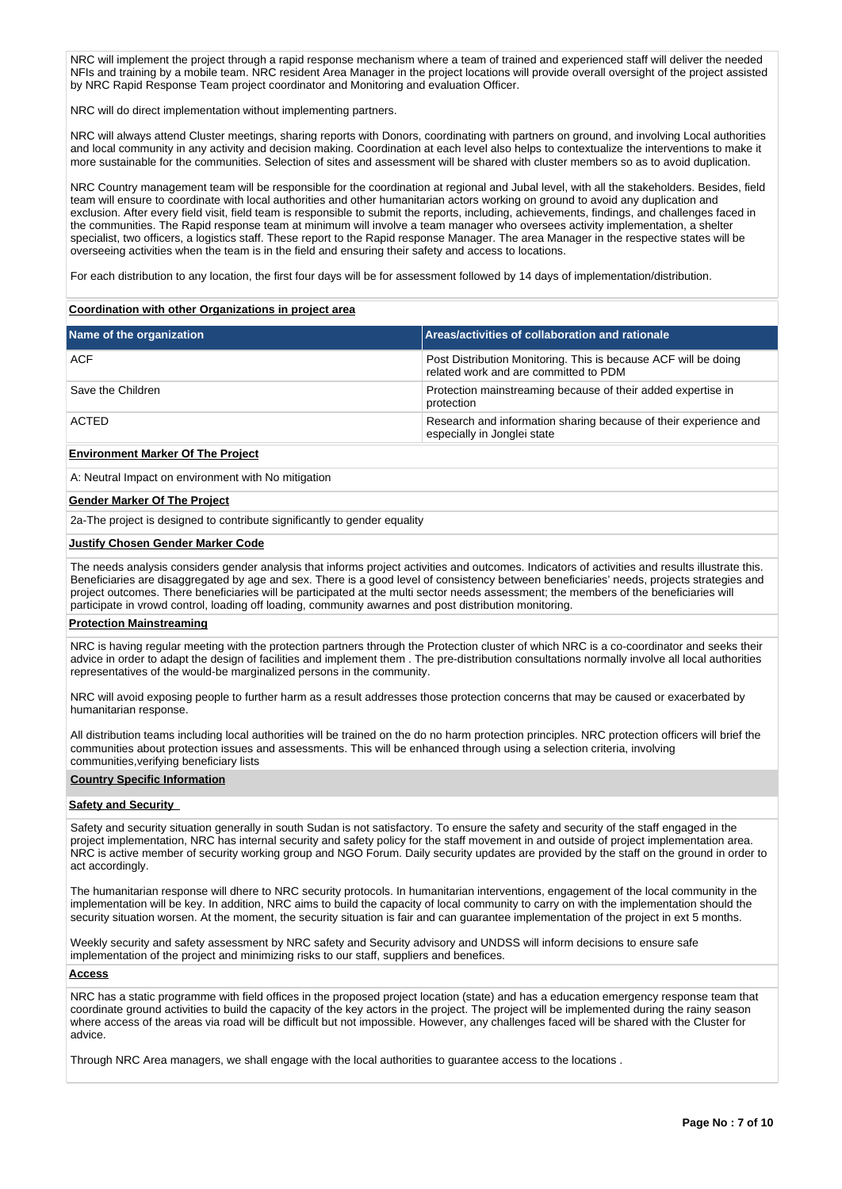NRC will implement the project through a rapid response mechanism where a team of trained and experienced staff will deliver the needed NFIs and training by a mobile team. NRC resident Area Manager in the project locations will provide overall oversight of the project assisted by NRC Rapid Response Team project coordinator and Monitoring and evaluation Officer.

NRC will do direct implementation without implementing partners.

NRC will always attend Cluster meetings, sharing reports with Donors, coordinating with partners on ground, and involving Local authorities and local community in any activity and decision making. Coordination at each level also helps to contextualize the interventions to make it more sustainable for the communities. Selection of sites and assessment will be shared with cluster members so as to avoid duplication.

NRC Country management team will be responsible for the coordination at regional and Jubal level, with all the stakeholders. Besides, field team will ensure to coordinate with local authorities and other humanitarian actors working on ground to avoid any duplication and exclusion. After every field visit, field team is responsible to submit the reports, including, achievements, findings, and challenges faced in the communities. The Rapid response team at minimum will involve a team manager who oversees activity implementation, a shelter specialist, two officers, a logistics staff. These report to the Rapid response Manager. The area Manager in the respective states will be overseeing activities when the team is in the field and ensuring their safety and access to locations.

For each distribution to any location, the first four days will be for assessment followed by 14 days of implementation/distribution.

#### **Coordination with other Organizations in project area**

| Name of the organization | Areas/activities of collaboration and rationale                                                          |
|--------------------------|----------------------------------------------------------------------------------------------------------|
| <b>ACF</b>               | Post Distribution Monitoring. This is because ACF will be doing<br>related work and are committed to PDM |
| Save the Children        | Protection mainstreaming because of their added expertise in<br>protection                               |
| ACTED                    | Research and information sharing because of their experience and<br>especially in Jonglei state          |

#### **Environment Marker Of The Project**

A: Neutral Impact on environment with No mitigation

## **Gender Marker Of The Project**

2a-The project is designed to contribute significantly to gender equality

#### **Justify Chosen Gender Marker Code**

The needs analysis considers gender analysis that informs project activities and outcomes. Indicators of activities and results illustrate this. Beneficiaries are disaggregated by age and sex. There is a good level of consistency between beneficiaries' needs, projects strategies and project outcomes. There beneficiaries will be participated at the multi sector needs assessment; the members of the beneficiaries will participate in vrowd control, loading off loading, community awarnes and post distribution monitoring.

## **Protection Mainstreaming**

NRC is having regular meeting with the protection partners through the Protection cluster of which NRC is a co-coordinator and seeks their advice in order to adapt the design of facilities and implement them . The pre-distribution consultations normally involve all local authorities representatives of the would-be marginalized persons in the community.

NRC will avoid exposing people to further harm as a result addresses those protection concerns that may be caused or exacerbated by humanitarian response.

All distribution teams including local authorities will be trained on the do no harm protection principles. NRC protection officers will brief the communities about protection issues and assessments. This will be enhanced through using a selection criteria, involving communities,verifying beneficiary lists

#### **Country Specific Information**

#### **Safety and Security**

Safety and security situation generally in south Sudan is not satisfactory. To ensure the safety and security of the staff engaged in the project implementation, NRC has internal security and safety policy for the staff movement in and outside of project implementation area. NRC is active member of security working group and NGO Forum. Daily security updates are provided by the staff on the ground in order to act accordingly.

The humanitarian response will dhere to NRC security protocols. In humanitarian interventions, engagement of the local community in the implementation will be key. In addition, NRC aims to build the capacity of local community to carry on with the implementation should the security situation worsen. At the moment, the security situation is fair and can guarantee implementation of the project in ext 5 months.

Weekly security and safety assessment by NRC safety and Security advisory and UNDSS will inform decisions to ensure safe implementation of the project and minimizing risks to our staff, suppliers and benefices.

#### **Access**

NRC has a static programme with field offices in the proposed project location (state) and has a education emergency response team that coordinate ground activities to build the capacity of the key actors in the project. The project will be implemented during the rainy season where access of the areas via road will be difficult but not impossible. However, any challenges faced will be shared with the Cluster for advice.

Through NRC Area managers, we shall engage with the local authorities to guarantee access to the locations .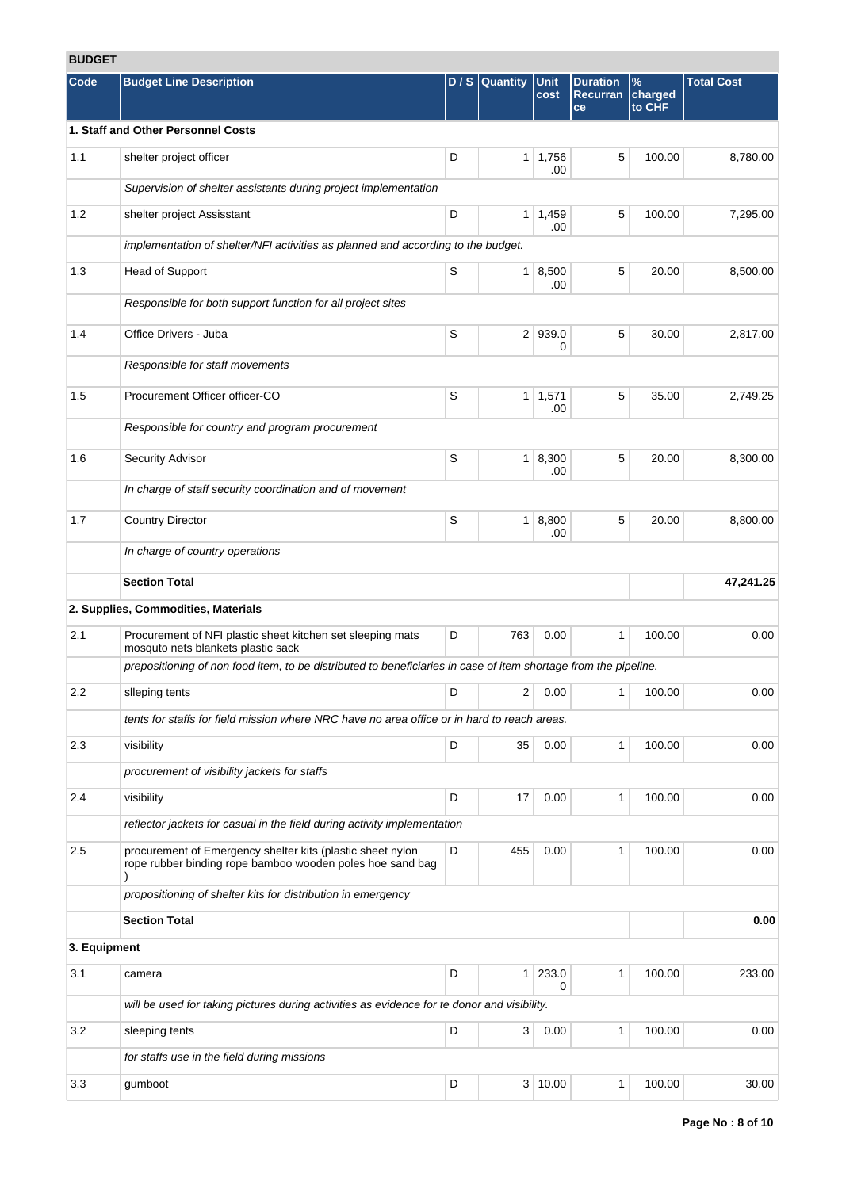# **BUDGET**

| Code         | <b>Budget Line Description</b>                                                                                          |   | $D/S$ Quantity | <b>Unit</b><br>cost   | <b>Duration</b><br><b>Recurran</b><br>ce | $\%$<br>charged<br>to CHF | <b>Total Cost</b> |
|--------------|-------------------------------------------------------------------------------------------------------------------------|---|----------------|-----------------------|------------------------------------------|---------------------------|-------------------|
|              | 1. Staff and Other Personnel Costs                                                                                      |   |                |                       |                                          |                           |                   |
| 1.1          | shelter project officer                                                                                                 | D |                | $1 \mid 1,756$<br>.00 | 5                                        | 100.00                    | 8,780.00          |
|              | Supervision of shelter assistants during project implementation                                                         |   |                |                       |                                          |                           |                   |
| 1.2          | shelter project Assisstant                                                                                              | D |                | 1 1,459<br>.00        | 5                                        | 100.00                    | 7,295.00          |
|              | implementation of shelter/NFI activities as planned and according to the budget.                                        |   |                |                       |                                          |                           |                   |
| 1.3          | Head of Support                                                                                                         | S |                | 1   8,500<br>.00      | 5                                        | 20.00                     | 8,500.00          |
|              | Responsible for both support function for all project sites                                                             |   |                |                       |                                          |                           |                   |
| 1.4          | Office Drivers - Juba                                                                                                   | S |                | 2   939.0<br>0        | 5                                        | 30.00                     | 2,817.00          |
|              | Responsible for staff movements                                                                                         |   |                |                       |                                          |                           |                   |
| 1.5          | Procurement Officer officer-CO                                                                                          | S |                | $1 \mid 1,571$<br>.00 | 5                                        | 35.00                     | 2,749.25          |
|              | Responsible for country and program procurement                                                                         |   |                |                       |                                          |                           |                   |
| 1.6          | Security Advisor                                                                                                        | S |                | 1   8,300<br>.00      | 5                                        | 20.00                     | 8,300.00          |
|              | In charge of staff security coordination and of movement                                                                |   |                |                       |                                          |                           |                   |
| 1.7          | <b>Country Director</b>                                                                                                 | S |                | 1   8,800<br>.00      | 5                                        | 20.00                     | 8,800.00          |
|              | In charge of country operations                                                                                         |   |                |                       |                                          |                           |                   |
|              | <b>Section Total</b>                                                                                                    |   |                |                       |                                          |                           | 47,241.25         |
|              | 2. Supplies, Commodities, Materials                                                                                     |   |                |                       |                                          |                           |                   |
| 2.1          | Procurement of NFI plastic sheet kitchen set sleeping mats<br>mosquto nets blankets plastic sack                        | D | 763            | 0.00                  | $\mathbf{1}$                             | 100.00                    | 0.00              |
|              | prepositioning of non food item, to be distributed to beneficiaries in case of item shortage from the pipeline.         |   |                |                       |                                          |                           |                   |
| 2.2          | slleping tents                                                                                                          | D | 2              | 0.00                  | 1                                        | 100.00                    | 0.00              |
|              | tents for staffs for field mission where NRC have no area office or in hard to reach areas.                             |   |                |                       |                                          |                           |                   |
| 2.3          | visibility                                                                                                              | D | 35             | 0.00                  | 1                                        | 100.00                    | 0.00              |
|              | procurement of visibility jackets for staffs                                                                            |   |                |                       |                                          |                           |                   |
| 2.4          | visibility                                                                                                              | D | 17             | 0.00                  | 1                                        | 100.00                    | 0.00              |
|              | reflector jackets for casual in the field during activity implementation                                                |   |                |                       |                                          |                           |                   |
| 2.5          | procurement of Emergency shelter kits (plastic sheet nylon<br>rope rubber binding rope bamboo wooden poles hoe sand bag | D | 455            | 0.00                  | 1                                        | 100.00                    | 0.00              |
|              | propositioning of shelter kits for distribution in emergency                                                            |   |                |                       |                                          |                           |                   |
|              | <b>Section Total</b>                                                                                                    |   |                |                       |                                          |                           | 0.00              |
| 3. Equipment |                                                                                                                         |   |                |                       |                                          |                           |                   |
| 3.1          | camera                                                                                                                  | D |                | 1 233.0<br>0          | 1                                        | 100.00                    | 233.00            |
|              | will be used for taking pictures during activities as evidence for te donor and visibility.                             |   |                |                       |                                          |                           |                   |
| 3.2          | sleeping tents                                                                                                          | D | 3              | 0.00                  | 1                                        | 100.00                    | 0.00              |
|              | for staffs use in the field during missions                                                                             |   |                |                       |                                          |                           |                   |
| 3.3          | gumboot                                                                                                                 | D |                | 3   10.00             | 1                                        | 100.00                    | 30.00             |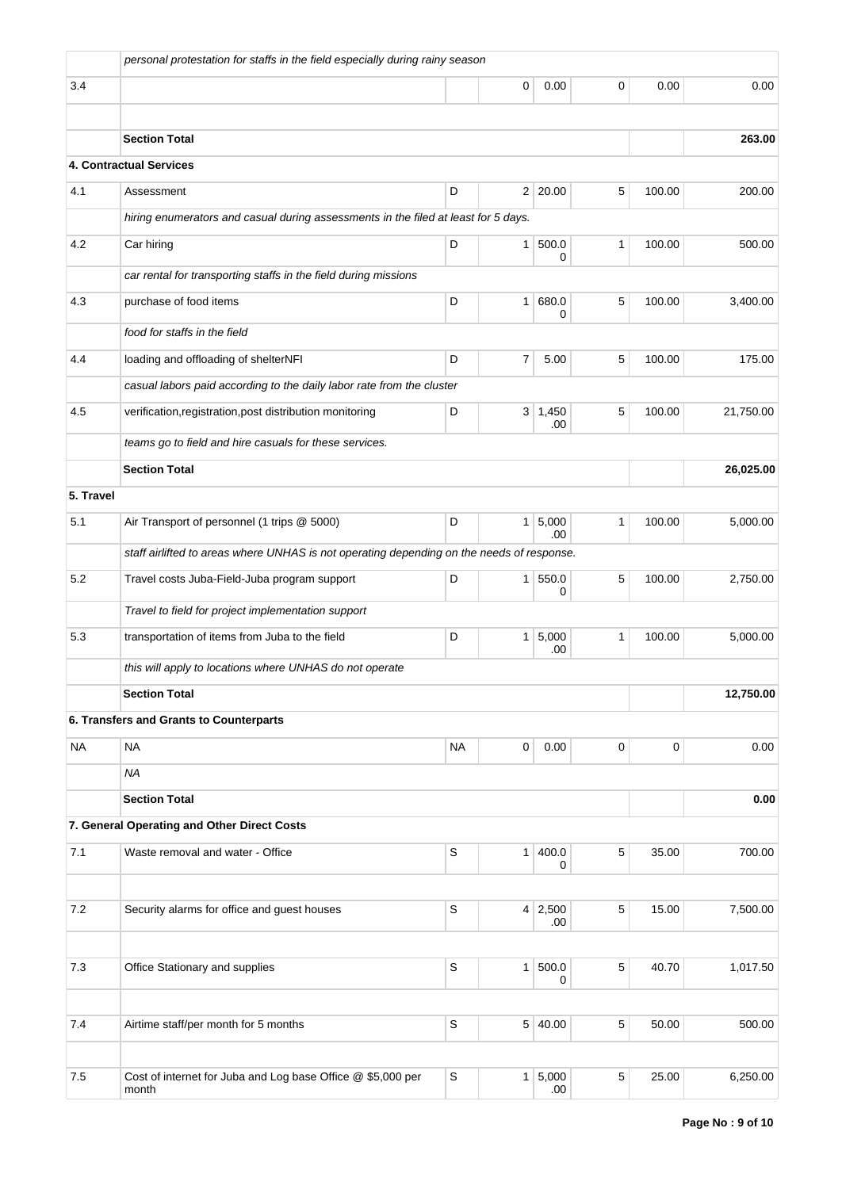|           | personal protestation for staffs in the field especially during rainy season              |             |                |                       |              |             |           |  |  |
|-----------|-------------------------------------------------------------------------------------------|-------------|----------------|-----------------------|--------------|-------------|-----------|--|--|
| 3.4       |                                                                                           |             | 0              | 0.00                  | 0            | 0.00        | 0.00      |  |  |
|           |                                                                                           |             |                |                       |              |             |           |  |  |
|           | <b>Section Total</b>                                                                      |             |                |                       |              |             | 263.00    |  |  |
|           | 4. Contractual Services                                                                   |             |                |                       |              |             |           |  |  |
| 4.1       | Assessment                                                                                | D           |                | 2 20.00               | 5            | 100.00      | 200.00    |  |  |
|           | hiring enumerators and casual during assessments in the filed at least for 5 days.        |             |                |                       |              |             |           |  |  |
| 4.2       | Car hiring                                                                                | D           | 1              | 500.0<br>0            | $\mathbf{1}$ | 100.00      | 500.00    |  |  |
|           | car rental for transporting staffs in the field during missions                           |             |                |                       |              |             |           |  |  |
| 4.3       | purchase of food items                                                                    | D           | 1 <sup>1</sup> | 680.0<br>0            | 5            | 100.00      | 3,400.00  |  |  |
|           | food for staffs in the field                                                              |             |                |                       |              |             |           |  |  |
| 4.4       | loading and offloading of shelterNFI                                                      | D           | 7              | 5.00                  | 5            | 100.00      | 175.00    |  |  |
|           | casual labors paid according to the daily labor rate from the cluster                     |             |                |                       |              |             |           |  |  |
| 4.5       | verification, registration, post distribution monitoring                                  | D           |                | $3 \mid 1,450$<br>.00 | 5            | 100.00      | 21,750.00 |  |  |
|           | teams go to field and hire casuals for these services.                                    |             |                |                       |              |             |           |  |  |
|           | <b>Section Total</b>                                                                      |             |                |                       |              |             | 26,025.00 |  |  |
| 5. Travel |                                                                                           |             |                |                       |              |             |           |  |  |
| 5.1       | Air Transport of personnel (1 trips @ 5000)                                               | D           |                | $1 \mid 5,000$<br>.00 | 1            | 100.00      | 5,000.00  |  |  |
|           | staff airlifted to areas where UNHAS is not operating depending on the needs of response. |             |                |                       |              |             |           |  |  |
| 5.2       | Travel costs Juba-Field-Juba program support                                              | D           |                | 1   550.0<br>0        | 5            | 100.00      | 2,750.00  |  |  |
|           | Travel to field for project implementation support                                        |             |                |                       |              |             |           |  |  |
| 5.3       | transportation of items from Juba to the field                                            | D           |                | 1 5,000<br>.00        | 1            | 100.00      | 5,000.00  |  |  |
|           | this will apply to locations where UNHAS do not operate                                   |             |                |                       |              |             |           |  |  |
|           | <b>Section Total</b>                                                                      |             |                |                       |              |             | 12,750.00 |  |  |
|           | 6. Transfers and Grants to Counterparts                                                   |             |                |                       |              |             |           |  |  |
| <b>NA</b> | <b>NA</b>                                                                                 | <b>NA</b>   | 0              | 0.00                  | 0            | $\mathbf 0$ | 0.00      |  |  |
|           | <b>NA</b>                                                                                 |             |                |                       |              |             |           |  |  |
|           | <b>Section Total</b>                                                                      |             |                |                       |              |             | 0.00      |  |  |
|           | 7. General Operating and Other Direct Costs                                               |             |                |                       |              |             |           |  |  |
| 7.1       | Waste removal and water - Office                                                          | $\mathbb S$ | 1 <sup>1</sup> | 400.0<br>0            | 5            | 35.00       | 700.00    |  |  |
|           |                                                                                           |             |                |                       |              |             |           |  |  |
| 7.2       | Security alarms for office and guest houses                                               | S           |                | 4 2,500<br>.00.       | 5            | 15.00       | 7,500.00  |  |  |
|           |                                                                                           |             |                |                       |              |             |           |  |  |
| 7.3       | Office Stationary and supplies                                                            | $\mathbb S$ | 1 <sup>1</sup> | 500.0<br>0            | 5            | 40.70       | 1,017.50  |  |  |
|           |                                                                                           |             |                |                       |              |             |           |  |  |
| 7.4       | Airtime staff/per month for 5 months                                                      | $\mathbb S$ |                | 5 40.00               | 5            | 50.00       | 500.00    |  |  |
|           |                                                                                           |             |                |                       |              |             |           |  |  |
| 7.5       | Cost of internet for Juba and Log base Office @ \$5,000 per<br>month                      | $\mathbb S$ |                | 1 5,000<br>.00        | 5            | 25.00       | 6,250.00  |  |  |